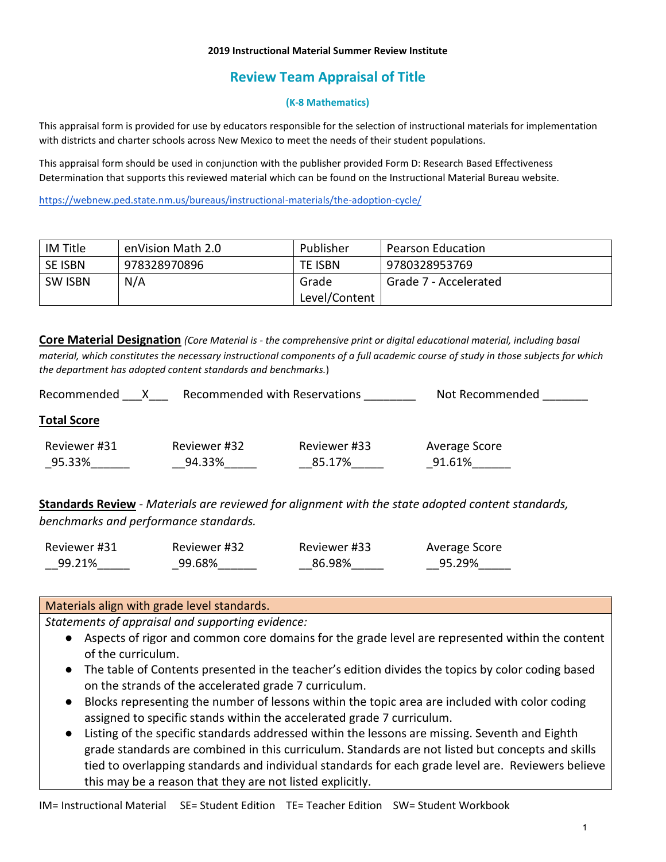#### **2019 Instructional Material Summer Review Institute**

# **Review Team Appraisal of Title**

#### **(K-8 Mathematics)**

This appraisal form is provided for use by educators responsible for the selection of instructional materials for implementation with districts and charter schools across New Mexico to meet the needs of their student populations.

This appraisal form should be used in conjunction with the publisher provided Form D: Research Based Effectiveness Determination that supports this reviewed material which can be found on the Instructional Material Bureau website.

<https://webnew.ped.state.nm.us/bureaus/instructional-materials/the-adoption-cycle/>

| IM Title       | enVision Math 2.0 | Publisher      | <b>Pearson Education</b> |
|----------------|-------------------|----------------|--------------------------|
| <b>SE ISBN</b> | 978328970896      | <b>TE ISBN</b> | 9780328953769            |
| <b>SW ISBN</b> | N/A               | Grade          | Grade 7 - Accelerated    |
|                |                   | Level/Content  |                          |

**Core Material Designation** *(Core Material is - the comprehensive print or digital educational material, including basal material, which constitutes the necessary instructional components of a full academic course of study in those subjects for which the department has adopted content standards and benchmarks.*)

| Recommended            | Recommended with Reservations |                        | Not Recommended         |
|------------------------|-------------------------------|------------------------|-------------------------|
| <b>Total Score</b>     |                               |                        |                         |
| Reviewer #31<br>95.33% | Reviewer #32<br>94.33%        | Reviewer #33<br>85.17% | Average Score<br>91.61% |

**Standards Review** - *Materials are reviewed for alignment with the state adopted content standards, benchmarks and performance standards.*

| Reviewer #31 | Reviewer #32 | Reviewer #33 | Average Score |
|--------------|--------------|--------------|---------------|
| 99.21%       | 99.68%       | 86.98%       | 95.29%        |

### Materials align with grade level standards.

*Statements of appraisal and supporting evidence:*

- Aspects of rigor and common core domains for the grade level are represented within the content of the curriculum.
- The table of Contents presented in the teacher's edition divides the topics by color coding based on the strands of the accelerated grade 7 curriculum.
- Blocks representing the number of lessons within the topic area are included with color coding assigned to specific stands within the accelerated grade 7 curriculum.
- Listing of the specific standards addressed within the lessons are missing. Seventh and Eighth grade standards are combined in this curriculum. Standards are not listed but concepts and skills tied to overlapping standards and individual standards for each grade level are. Reviewers believe this may be a reason that they are not listed explicitly.

IM= Instructional Material SE= Student Edition TE= Teacher Edition SW= Student Workbook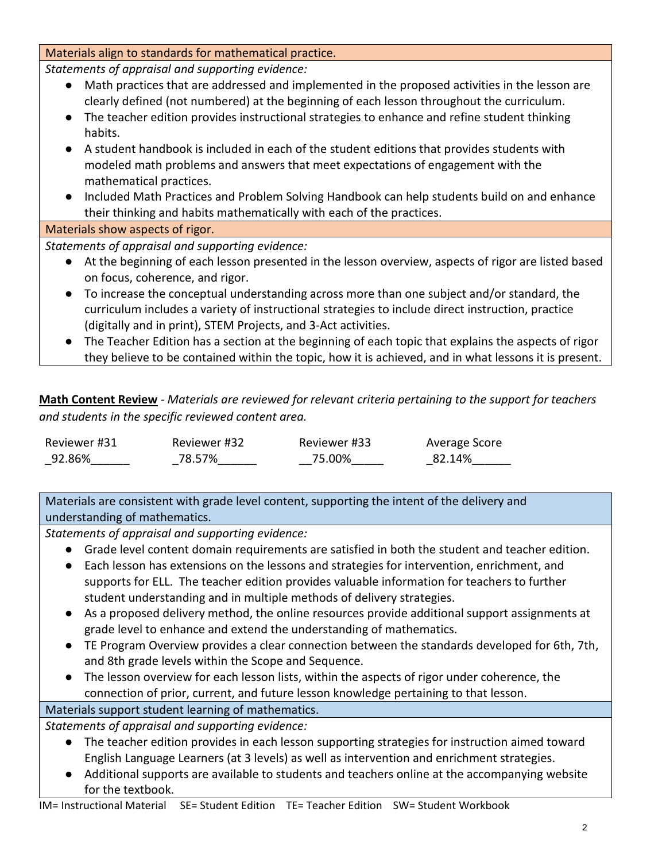Materials align to standards for mathematical practice.

*Statements of appraisal and supporting evidence:*

- Math practices that are addressed and implemented in the proposed activities in the lesson are clearly defined (not numbered) at the beginning of each lesson throughout the curriculum.
- The teacher edition provides instructional strategies to enhance and refine student thinking habits.
- A student handbook is included in each of the student editions that provides students with modeled math problems and answers that meet expectations of engagement with the mathematical practices.
- Included Math Practices and Problem Solving Handbook can help students build on and enhance their thinking and habits mathematically with each of the practices.

Materials show aspects of rigor.

*Statements of appraisal and supporting evidence:*

- At the beginning of each lesson presented in the lesson overview, aspects of rigor are listed based on focus, coherence, and rigor.
- To increase the conceptual understanding across more than one subject and/or standard, the curriculum includes a variety of instructional strategies to include direct instruction, practice (digitally and in print), STEM Projects, and 3-Act activities.
- The Teacher Edition has a section at the beginning of each topic that explains the aspects of rigor they believe to be contained within the topic, how it is achieved, and in what lessons it is present.

**Math Content Review** - *Materials are reviewed for relevant criteria pertaining to the support for teachers and students in the specific reviewed content area.*

| Reviewer #31 | Reviewer #32 | Reviewer #33 | Average Score |
|--------------|--------------|--------------|---------------|
| 92.86%       | 78.57%       | 75.00%       | 82.14%        |

Materials are consistent with grade level content, supporting the intent of the delivery and understanding of mathematics.

*Statements of appraisal and supporting evidence:*

- Grade level content domain requirements are satisfied in both the student and teacher edition.
- Each lesson has extensions on the lessons and strategies for intervention, enrichment, and supports for ELL. The teacher edition provides valuable information for teachers to further student understanding and in multiple methods of delivery strategies.
- As a proposed delivery method, the online resources provide additional support assignments at grade level to enhance and extend the understanding of mathematics.
- TE Program Overview provides a clear connection between the standards developed for 6th, 7th, and 8th grade levels within the Scope and Sequence.
- The lesson overview for each lesson lists, within the aspects of rigor under coherence, the connection of prior, current, and future lesson knowledge pertaining to that lesson.

# Materials support student learning of mathematics.

*Statements of appraisal and supporting evidence:*

- The teacher edition provides in each lesson supporting strategies for instruction aimed toward English Language Learners (at 3 levels) as well as intervention and enrichment strategies.
- Additional supports are available to students and teachers online at the accompanying website for the textbook.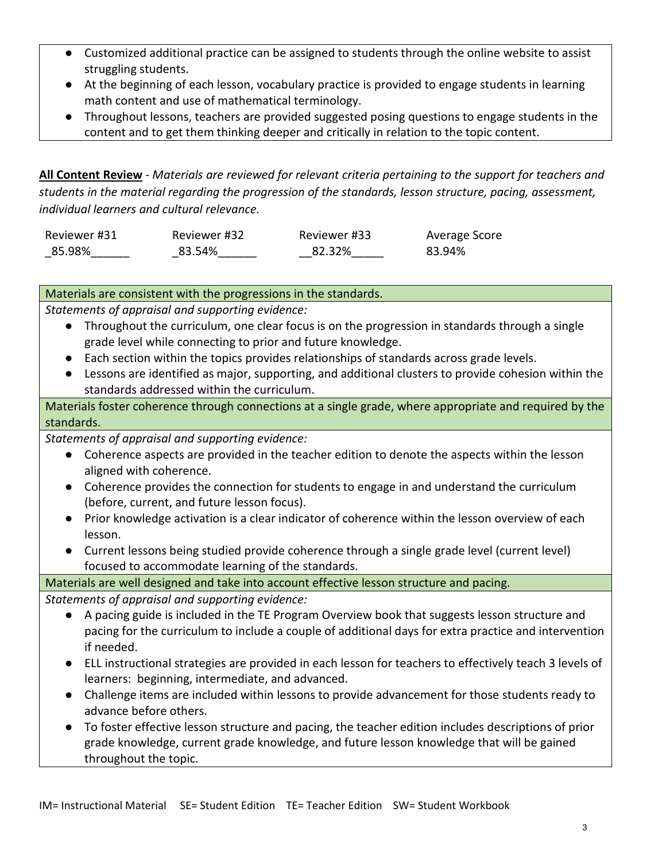- Customized additional practice can be assigned to students through the online website to assist struggling students.
- At the beginning of each lesson, vocabulary practice is provided to engage students in learning math content and use of mathematical terminology.
- Throughout lessons, teachers are provided suggested posing questions to engage students in the content and to get them thinking deeper and critically in relation to the topic content.

**All Content Review** - *Materials are reviewed for relevant criteria pertaining to the support for teachers and students in the material regarding the progression of the standards, lesson structure, pacing, assessment, individual learners and cultural relevance.*

| Reviewer #31 | Reviewer #32 | Reviewer #33 | Average Score |
|--------------|--------------|--------------|---------------|
| 85.98%       | 83.54%       | 82.32%       | 83.94%        |

## Materials are consistent with the progressions in the standards.

*Statements of appraisal and supporting evidence:*

- Throughout the curriculum, one clear focus is on the progression in standards through a single grade level while connecting to prior and future knowledge.
- Each section within the topics provides relationships of standards across grade levels.
- Lessons are identified as major, supporting, and additional clusters to provide cohesion within the standards addressed within the curriculum.

Materials foster coherence through connections at a single grade, where appropriate and required by the standards.

*Statements of appraisal and supporting evidence:*

- Coherence aspects are provided in the teacher edition to denote the aspects within the lesson aligned with coherence.
- Coherence provides the connection for students to engage in and understand the curriculum (before, current, and future lesson focus).
- Prior knowledge activation is a clear indicator of coherence within the lesson overview of each lesson.
- Current lessons being studied provide coherence through a single grade level (current level) focused to accommodate learning of the standards.

## Materials are well designed and take into account effective lesson structure and pacing.

*Statements of appraisal and supporting evidence:*

- A pacing guide is included in the TE Program Overview book that suggests lesson structure and pacing for the curriculum to include a couple of additional days for extra practice and intervention if needed.
- ELL instructional strategies are provided in each lesson for teachers to effectively teach 3 levels of learners: beginning, intermediate, and advanced.
- Challenge items are included within lessons to provide advancement for those students ready to advance before others.
- To foster effective lesson structure and pacing, the teacher edition includes descriptions of prior grade knowledge, current grade knowledge, and future lesson knowledge that will be gained throughout the topic.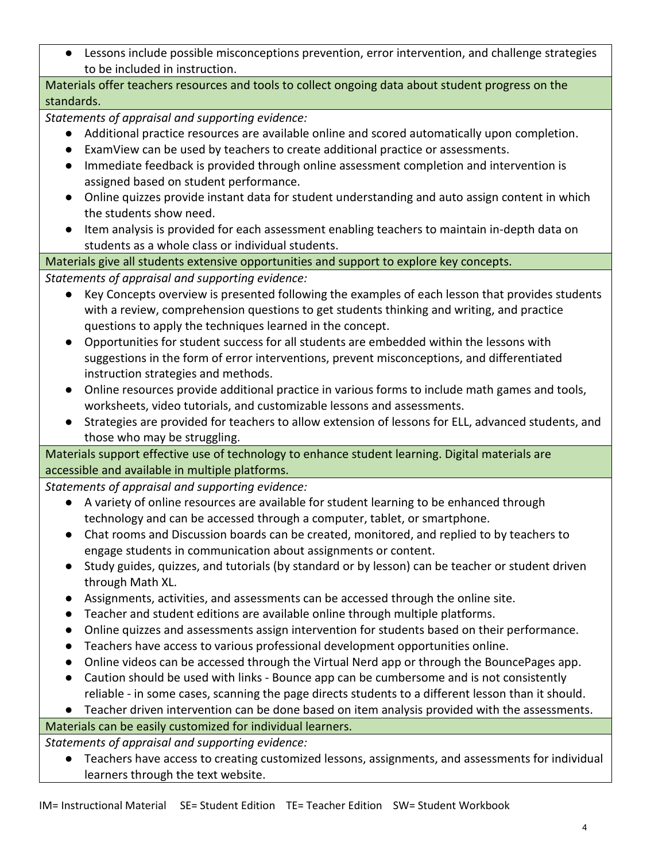● Lessons include possible misconceptions prevention, error intervention, and challenge strategies to be included in instruction.

Materials offer teachers resources and tools to collect ongoing data about student progress on the standards.

*Statements of appraisal and supporting evidence:*

- Additional practice resources are available online and scored automatically upon completion.
- ExamView can be used by teachers to create additional practice or assessments.
- Immediate feedback is provided through online assessment completion and intervention is assigned based on student performance.
- Online quizzes provide instant data for student understanding and auto assign content in which the students show need.
- Item analysis is provided for each assessment enabling teachers to maintain in-depth data on students as a whole class or individual students.

Materials give all students extensive opportunities and support to explore key concepts.

*Statements of appraisal and supporting evidence:*

- Key Concepts overview is presented following the examples of each lesson that provides students with a review, comprehension questions to get students thinking and writing, and practice questions to apply the techniques learned in the concept.
- Opportunities for student success for all students are embedded within the lessons with suggestions in the form of error interventions, prevent misconceptions, and differentiated instruction strategies and methods.
- Online resources provide additional practice in various forms to include math games and tools, worksheets, video tutorials, and customizable lessons and assessments.
- Strategies are provided for teachers to allow extension of lessons for ELL, advanced students, and those who may be struggling.

Materials support effective use of technology to enhance student learning. Digital materials are accessible and available in multiple platforms.

*Statements of appraisal and supporting evidence:*

- A variety of online resources are available for student learning to be enhanced through technology and can be accessed through a computer, tablet, or smartphone.
- Chat rooms and Discussion boards can be created, monitored, and replied to by teachers to engage students in communication about assignments or content.
- Study guides, quizzes, and tutorials (by standard or by lesson) can be teacher or student driven through Math XL.
- Assignments, activities, and assessments can be accessed through the online site.
- Teacher and student editions are available online through multiple platforms.
- Online quizzes and assessments assign intervention for students based on their performance.
- Teachers have access to various professional development opportunities online.
- Online videos can be accessed through the Virtual Nerd app or through the BouncePages app.
- Caution should be used with links Bounce app can be cumbersome and is not consistently reliable - in some cases, scanning the page directs students to a different lesson than it should.

● Teacher driven intervention can be done based on item analysis provided with the assessments.

Materials can be easily customized for individual learners.

*Statements of appraisal and supporting evidence:*

● Teachers have access to creating customized lessons, assignments, and assessments for individual learners through the text website.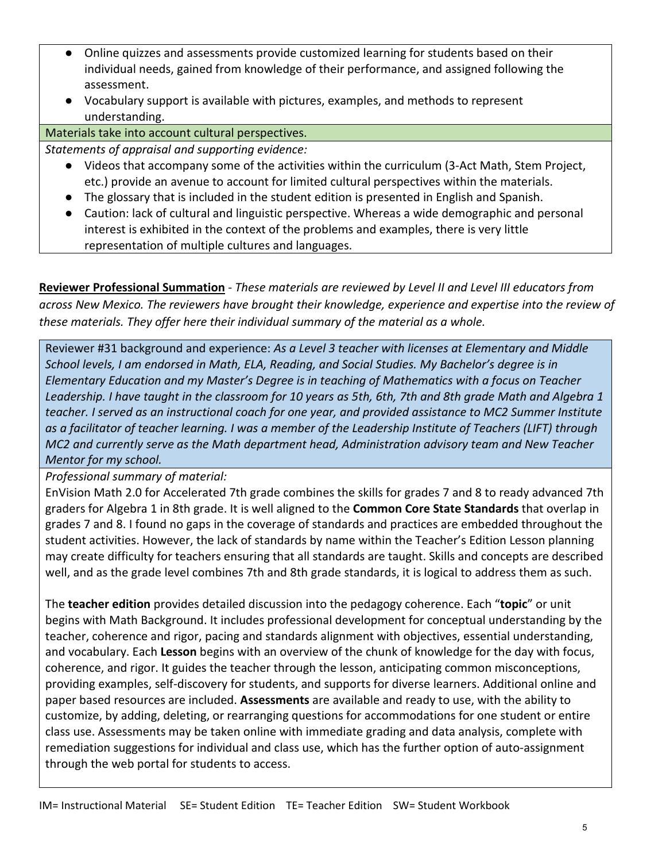- Online quizzes and assessments provide customized learning for students based on their individual needs, gained from knowledge of their performance, and assigned following the assessment.
- Vocabulary support is available with pictures, examples, and methods to represent understanding.

Materials take into account cultural perspectives.

*Statements of appraisal and supporting evidence:*

- Videos that accompany some of the activities within the curriculum (3-Act Math, Stem Project, etc.) provide an avenue to account for limited cultural perspectives within the materials.
- The glossary that is included in the student edition is presented in English and Spanish.
- Caution: lack of cultural and linguistic perspective. Whereas a wide demographic and personal interest is exhibited in the context of the problems and examples, there is very little representation of multiple cultures and languages.

**Reviewer Professional Summation** - *These materials are reviewed by Level II and Level III educators from across New Mexico. The reviewers have brought their knowledge, experience and expertise into the review of these materials. They offer here their individual summary of the material as a whole.* 

Reviewer #31 background and experience: *As a Level 3 teacher with licenses at Elementary and Middle School levels, I am endorsed in Math, ELA, Reading, and Social Studies. My Bachelor's degree is in Elementary Education and my Master's Degree is in teaching of Mathematics with a focus on Teacher Leadership. I have taught in the classroom for 10 years as 5th, 6th, 7th and 8th grade Math and Algebra 1 teacher. I served as an instructional coach for one year, and provided assistance to MC2 Summer Institute as a facilitator of teacher learning. I was a member of the Leadership Institute of Teachers (LIFT) through MC2 and currently serve as the Math department head, Administration advisory team and New Teacher Mentor for my school.*

*Professional summary of material:*

EnVision Math 2.0 for Accelerated 7th grade combines the skills for grades 7 and 8 to ready advanced 7th graders for Algebra 1 in 8th grade. It is well aligned to the **Common Core State Standards** that overlap in grades 7 and 8. I found no gaps in the coverage of standards and practices are embedded throughout the student activities. However, the lack of standards by name within the Teacher's Edition Lesson planning may create difficulty for teachers ensuring that all standards are taught. Skills and concepts are described well, and as the grade level combines 7th and 8th grade standards, it is logical to address them as such.

The **teacher edition** provides detailed discussion into the pedagogy coherence. Each "**topic**" or unit begins with Math Background. It includes professional development for conceptual understanding by the teacher, coherence and rigor, pacing and standards alignment with objectives, essential understanding, and vocabulary. Each **Lesson** begins with an overview of the chunk of knowledge for the day with focus, coherence, and rigor. It guides the teacher through the lesson, anticipating common misconceptions, providing examples, self-discovery for students, and supports for diverse learners. Additional online and paper based resources are included. **Assessments** are available and ready to use, with the ability to customize, by adding, deleting, or rearranging questions for accommodations for one student or entire class use. Assessments may be taken online with immediate grading and data analysis, complete with remediation suggestions for individual and class use, which has the further option of auto-assignment through the web portal for students to access.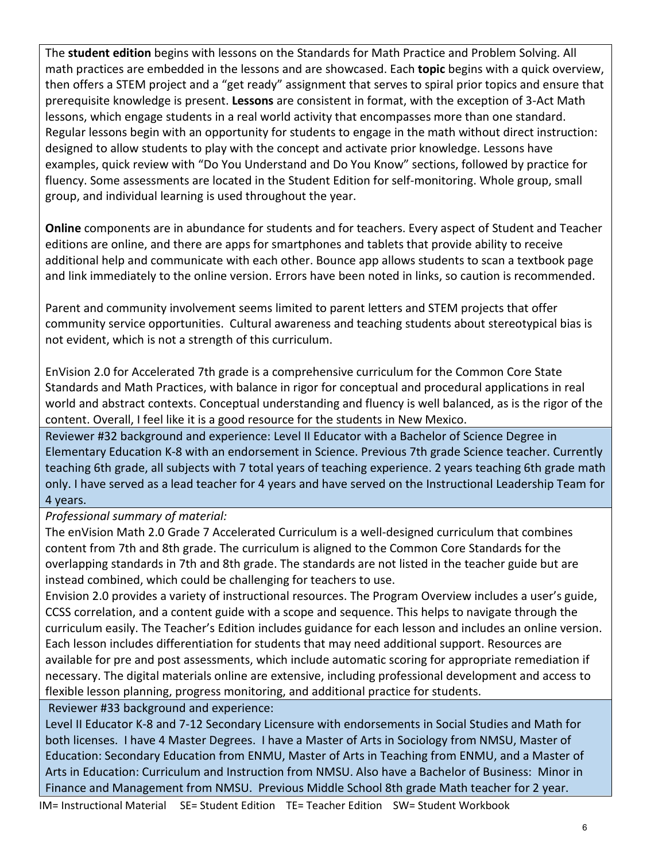The **student edition** begins with lessons on the Standards for Math Practice and Problem Solving. All math practices are embedded in the lessons and are showcased. Each **topic** begins with a quick overview, then offers a STEM project and a "get ready" assignment that serves to spiral prior topics and ensure that prerequisite knowledge is present. **Lessons** are consistent in format, with the exception of 3-Act Math lessons, which engage students in a real world activity that encompasses more than one standard. Regular lessons begin with an opportunity for students to engage in the math without direct instruction: designed to allow students to play with the concept and activate prior knowledge. Lessons have examples, quick review with "Do You Understand and Do You Know" sections, followed by practice for fluency. Some assessments are located in the Student Edition for self-monitoring. Whole group, small group, and individual learning is used throughout the year.

**Online** components are in abundance for students and for teachers. Every aspect of Student and Teacher editions are online, and there are apps for smartphones and tablets that provide ability to receive additional help and communicate with each other. Bounce app allows students to scan a textbook page and link immediately to the online version. Errors have been noted in links, so caution is recommended.

Parent and community involvement seems limited to parent letters and STEM projects that offer community service opportunities. Cultural awareness and teaching students about stereotypical bias is not evident, which is not a strength of this curriculum.

EnVision 2.0 for Accelerated 7th grade is a comprehensive curriculum for the Common Core State Standards and Math Practices, with balance in rigor for conceptual and procedural applications in real world and abstract contexts. Conceptual understanding and fluency is well balanced, as is the rigor of the content. Overall, I feel like it is a good resource for the students in New Mexico.

Reviewer #32 background and experience: Level II Educator with a Bachelor of Science Degree in Elementary Education K-8 with an endorsement in Science. Previous 7th grade Science teacher. Currently teaching 6th grade, all subjects with 7 total years of teaching experience. 2 years teaching 6th grade math only. I have served as a lead teacher for 4 years and have served on the Instructional Leadership Team for 4 years.

### *Professional summary of material:*

The enVision Math 2.0 Grade 7 Accelerated Curriculum is a well-designed curriculum that combines content from 7th and 8th grade. The curriculum is aligned to the Common Core Standards for the overlapping standards in 7th and 8th grade. The standards are not listed in the teacher guide but are instead combined, which could be challenging for teachers to use.

Envision 2.0 provides a variety of instructional resources. The Program Overview includes a user's guide, CCSS correlation, and a content guide with a scope and sequence. This helps to navigate through the curriculum easily. The Teacher's Edition includes guidance for each lesson and includes an online version. Each lesson includes differentiation for students that may need additional support. Resources are available for pre and post assessments, which include automatic scoring for appropriate remediation if necessary. The digital materials online are extensive, including professional development and access to flexible lesson planning, progress monitoring, and additional practice for students.

Reviewer #33 background and experience:

Level II Educator K-8 and 7-12 Secondary Licensure with endorsements in Social Studies and Math for both licenses. I have 4 Master Degrees. I have a Master of Arts in Sociology from NMSU, Master of Education: Secondary Education from ENMU, Master of Arts in Teaching from ENMU, and a Master of Arts in Education: Curriculum and Instruction from NMSU. Also have a Bachelor of Business: Minor in Finance and Management from NMSU. Previous Middle School 8th grade Math teacher for 2 year.

IM= Instructional Material SE= Student Edition TE= Teacher Edition SW= Student Workbook